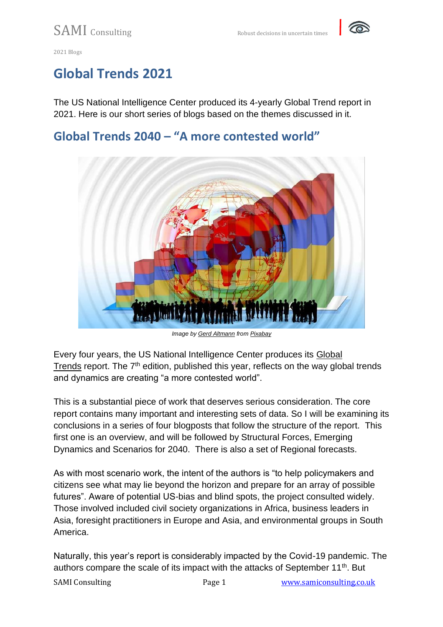

# **Global Trends 2021**

The US National Intelligence Center produced its 4-yearly Global Trend report in 2021. Here is our short series of blogs based on the themes discussed in it.

## **Global Trends 2040 – "A more contested world"**



*Image by [Gerd Altmann](https://pixabay.com/users/geralt-9301/?utm_source=link-attribution&utm_medium=referral&utm_campaign=image&utm_content=822235) from [Pixabay](https://pixabay.com/?utm_source=link-attribution&utm_medium=referral&utm_campaign=image&utm_content=822235)*

Every four years, the US National Intelligence Center produces its [Global](https://www.dni.gov/files/ODNI/documents/assessments/GlobalTrends_2040.pdf)  [Trends](https://www.dni.gov/files/ODNI/documents/assessments/GlobalTrends_2040.pdf) report. The  $7<sup>th</sup>$  edition, published this year, reflects on the way global trends and dynamics are creating "a more contested world".

This is a substantial piece of work that deserves serious consideration. The core report contains many important and interesting sets of data. So I will be examining its conclusions in a series of four blogposts that follow the structure of the report. This first one is an overview, and will be followed by Structural Forces, Emerging Dynamics and Scenarios for 2040. There is also a set of Regional forecasts.

As with most scenario work, the intent of the authors is "to help policymakers and citizens see what may lie beyond the horizon and prepare for an array of possible futures". Aware of potential US-bias and blind spots, the project consulted widely. Those involved included civil society organizations in Africa, business leaders in Asia, foresight practitioners in Europe and Asia, and environmental groups in South America.

Naturally, this year's report is considerably impacted by the Covid-19 pandemic. The authors compare the scale of its impact with the attacks of September 11<sup>th</sup>. But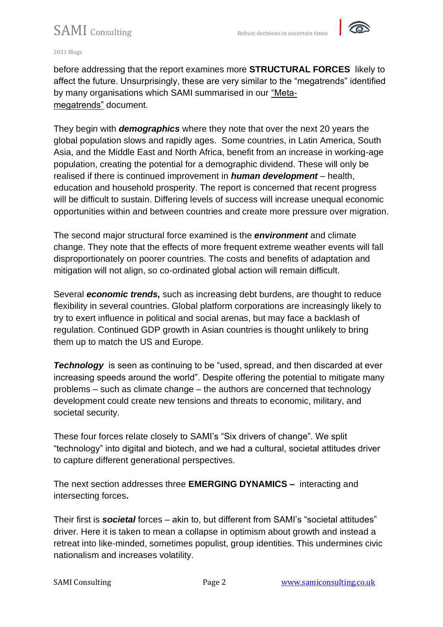

#### 2021 Blogs

before addressing that the report examines more **STRUCTURAL FORCES** likely to affect the future. Unsurprisingly, these are very similar to the "megatrends" identified by many organisations which SAMI summarised in our ["Meta](https://samiconsulting.co.uk/wp-content/uploads/2020/06/Meta-Megatrends-April.pdf)[megatrends"](https://samiconsulting.co.uk/wp-content/uploads/2020/06/Meta-Megatrends-April.pdf) document.

They begin with *demographics* where they note that over the next 20 years the global population slows and rapidly ages. Some countries, in Latin America, South Asia, and the Middle East and North Africa, benefit from an increase in working-age population, creating the potential for a demographic dividend. These will only be realised if there is continued improvement in *human development* – health, education and household prosperity. The report is concerned that recent progress will be difficult to sustain. Differing levels of success will increase unequal economic opportunities within and between countries and create more pressure over migration.

The second major structural force examined is the *environment* and climate change. They note that the effects of more frequent extreme weather events will fall disproportionately on poorer countries. The costs and benefits of adaptation and mitigation will not align, so co-ordinated global action will remain difficult.

Several *economic trends,* such as increasing debt burdens, are thought to reduce flexibility in several countries. Global platform corporations are increasingly likely to try to exert influence in political and social arenas, but may face a backlash of regulation. Continued GDP growth in Asian countries is thought unlikely to bring them up to match the US and Europe.

**Technology** is seen as continuing to be "used, spread, and then discarded at ever increasing speeds around the world". Despite offering the potential to mitigate many problems – such as climate change – the authors are concerned that technology development could create new tensions and threats to economic, military, and societal security.

These four forces relate closely to SAMI's "Six drivers of change". We split "technology" into digital and biotech, and we had a cultural, societal attitudes driver to capture different generational perspectives.

The next section addresses three **EMERGING DYNAMICS –** interacting and intersecting forces**.**

Their first is *societal* forces – akin to, but different from SAMI's "societal attitudes" driver. Here it is taken to mean a collapse in optimism about growth and instead a retreat into like-minded, sometimes populist, group identities. This undermines civic nationalism and increases volatility.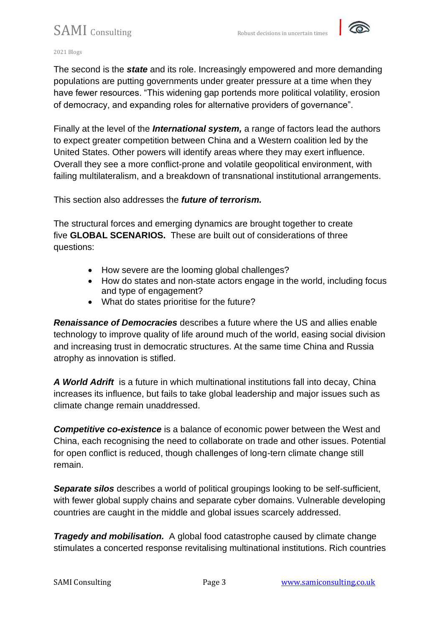

2021 Blogs

The second is the *state* and its role. Increasingly empowered and more demanding populations are putting governments under greater pressure at a time when they have fewer resources. "This widening gap portends more political volatility, erosion of democracy, and expanding roles for alternative providers of governance".

Finally at the level of the *International system,* a range of factors lead the authors to expect greater competition between China and a Western coalition led by the United States. Other powers will identify areas where they may exert influence. Overall they see a more conflict-prone and volatile geopolitical environment, with failing multilateralism, and a breakdown of transnational institutional arrangements.

This section also addresses the *future of terrorism.*

The structural forces and emerging dynamics are brought together to create five **GLOBAL SCENARIOS.** These are built out of considerations of three questions:

- How severe are the looming global challenges?
- How do states and non-state actors engage in the world, including focus and type of engagement?
- What do states prioritise for the future?

*Renaissance of Democracies* describes a future where the US and allies enable technology to improve quality of life around much of the world, easing social division and increasing trust in democratic structures. At the same time China and Russia atrophy as innovation is stifled.

*A World Adrift* is a future in which multinational institutions fall into decay, China increases its influence, but fails to take global leadership and major issues such as climate change remain unaddressed.

*Competitive co-existence* is a balance of economic power between the West and China, each recognising the need to collaborate on trade and other issues. Potential for open conflict is reduced, though challenges of long-tern climate change still remain.

*Separate silos* describes a world of political groupings looking to be self-sufficient, with fewer global supply chains and separate cyber domains. Vulnerable developing countries are caught in the middle and global issues scarcely addressed.

*Tragedy and mobilisation.* A global food catastrophe caused by climate change stimulates a concerted response revitalising multinational institutions. Rich countries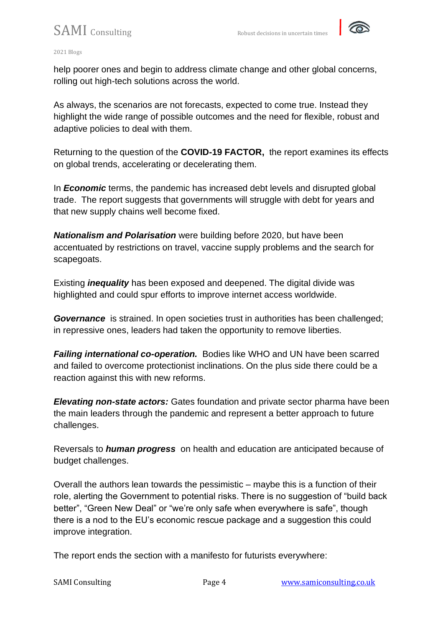

#### 2021 Blogs

help poorer ones and begin to address climate change and other global concerns, rolling out high-tech solutions across the world.

As always, the scenarios are not forecasts, expected to come true. Instead they highlight the wide range of possible outcomes and the need for flexible, robust and adaptive policies to deal with them.

Returning to the question of the **COVID-19 FACTOR,** the report examines its effects on global trends, accelerating or decelerating them.

In *Economic* terms, the pandemic has increased debt levels and disrupted global trade. The report suggests that governments will struggle with debt for years and that new supply chains well become fixed.

*Nationalism and Polarisation* were building before 2020, but have been accentuated by restrictions on travel, vaccine supply problems and the search for scapegoats.

Existing *inequality* has been exposed and deepened. The digital divide was highlighted and could spur efforts to improve internet access worldwide.

**Governance** is strained. In open societies trust in authorities has been challenged; in repressive ones, leaders had taken the opportunity to remove liberties.

*Failing international co-operation.* Bodies like WHO and UN have been scarred and failed to overcome protectionist inclinations. On the plus side there could be a reaction against this with new reforms.

*Elevating non-state actors:* Gates foundation and private sector pharma have been the main leaders through the pandemic and represent a better approach to future challenges.

Reversals to *human progress* on health and education are anticipated because of budget challenges.

Overall the authors lean towards the pessimistic – maybe this is a function of their role, alerting the Government to potential risks. There is no suggestion of "build back better", "Green New Deal" or "we're only safe when everywhere is safe", though there is a nod to the EU's economic rescue package and a suggestion this could improve integration.

The report ends the section with a manifesto for futurists everywhere: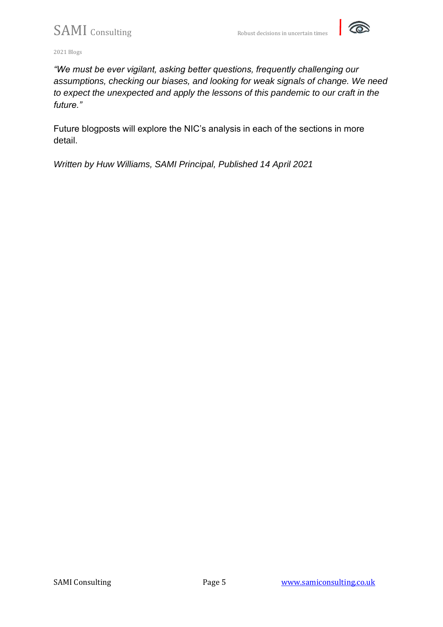

2021 Blogs

*"We must be ever vigilant, asking better questions, frequently challenging our assumptions, checking our biases, and looking for weak signals of change. We need to expect the unexpected and apply the lessons of this pandemic to our craft in the future."*

Future blogposts will explore the NIC's analysis in each of the sections in more detail.

*Written by Huw Williams, SAMI Principal, Published 14 April 2021*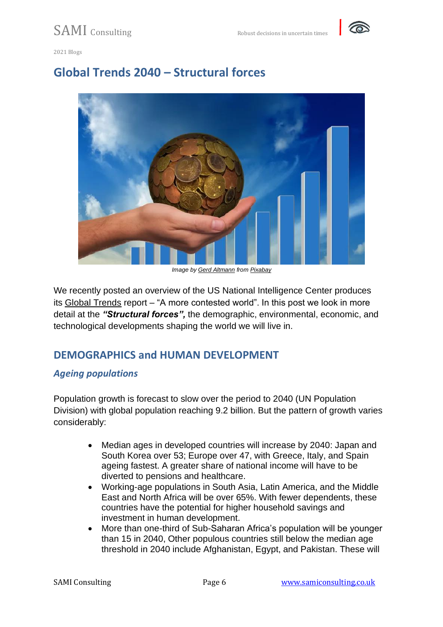

## **Global Trends 2040 – Structural forces**



*Image by [Gerd Altmann](https://pixabay.com/users/geralt-9301/?utm_source=link-attribution&utm_medium=referral&utm_campaign=image&utm_content=1445461) from [Pixabay](https://pixabay.com/?utm_source=link-attribution&utm_medium=referral&utm_campaign=image&utm_content=1445461)*

We recently posted an overview of the US National Intelligence Center produces its [Global Trends](https://www.dni.gov/files/ODNI/documents/assessments/GlobalTrends_2040.pdf) report – "A more contested world". In this post we look in more detail at the *"Structural forces",* the demographic, environmental, economic, and technological developments shaping the world we will live in.

## **DEMOGRAPHICS and HUMAN DEVELOPMENT**

### *Ageing populations*

Population growth is forecast to slow over the period to 2040 (UN Population Division) with global population reaching 9.2 billion. But the pattern of growth varies considerably:

- Median ages in developed countries will increase by 2040: Japan and South Korea over 53; Europe over 47, with Greece, Italy, and Spain ageing fastest. A greater share of national income will have to be diverted to pensions and healthcare.
- Working-age populations in South Asia, Latin America, and the Middle East and North Africa will be over 65%. With fewer dependents, these countries have the potential for higher household savings and investment in human development.
- More than one-third of Sub-Saharan Africa's population will be younger than 15 in 2040, Other populous countries still below the median age threshold in 2040 include Afghanistan, Egypt, and Pakistan. These will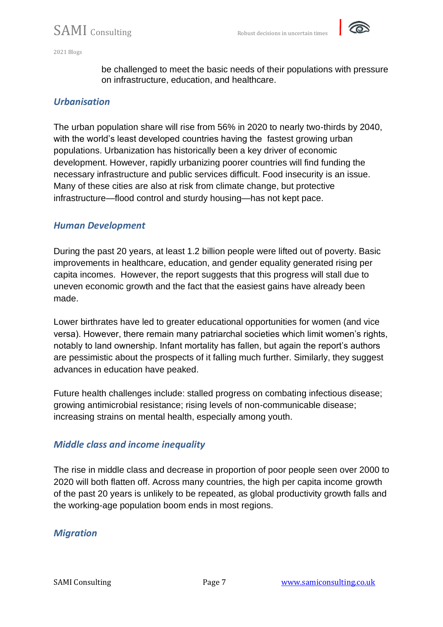

be challenged to meet the basic needs of their populations with pressure on infrastructure, education, and healthcare.

### *Urbanisation*

The urban population share will rise from 56% in 2020 to nearly two-thirds by 2040, with the world's least developed countries having the fastest growing urban populations. Urbanization has historically been a key driver of economic development. However, rapidly urbanizing poorer countries will find funding the necessary infrastructure and public services difficult. Food insecurity is an issue. Many of these cities are also at risk from climate change, but protective infrastructure—flood control and sturdy housing—has not kept pace.

### *Human Development*

During the past 20 years, at least 1.2 billion people were lifted out of poverty. Basic improvements in healthcare, education, and gender equality generated rising per capita incomes. However, the report suggests that this progress will stall due to uneven economic growth and the fact that the easiest gains have already been made.

Lower birthrates have led to greater educational opportunities for women (and vice versa). However, there remain many patriarchal societies which limit women's rights, notably to land ownership. Infant mortality has fallen, but again the report's authors are pessimistic about the prospects of it falling much further. Similarly, they suggest advances in education have peaked.

Future health challenges include: stalled progress on combating infectious disease; growing antimicrobial resistance; rising levels of non-communicable disease; increasing strains on mental health, especially among youth.

### *Middle class and income inequality*

The rise in middle class and decrease in proportion of poor people seen over 2000 to 2020 will both flatten off. Across many countries, the high per capita income growth of the past 20 years is unlikely to be repeated, as global productivity growth falls and the working-age population boom ends in most regions.

### *Migration*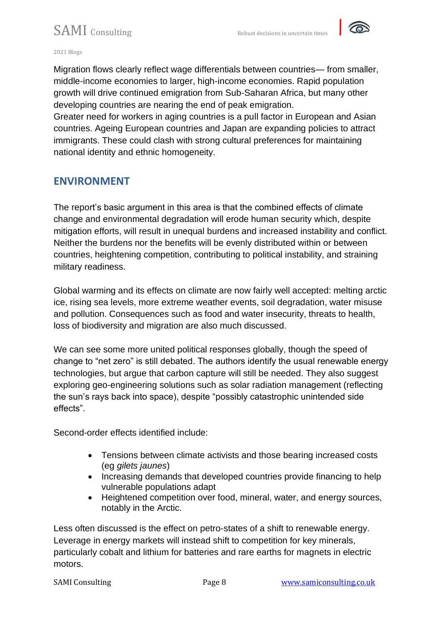

2021 Blogs

Migration flows clearly reflect wage differentials between countries— from smaller, middle-income economies to larger, high-income economies. Rapid population growth will drive continued emigration from Sub-Saharan Africa, but many other developing countries are nearing the end of peak emigration.

Greater need for workers in aging countries is a pull factor in European and Asian countries. Ageing European countries and Japan are expanding policies to attract immigrants. These could clash with strong cultural preferences for maintaining national identity and ethnic homogeneity.

## **ENVIRONMENT**

The report's basic argument in this area is that the combined effects of climate change and environmental degradation will erode human security which, despite mitigation efforts, will result in unequal burdens and increased instability and conflict. Neither the burdens nor the benefits will be evenly distributed within or between countries, heightening competition, contributing to political instability, and straining military readiness.

Global warming and its effects on climate are now fairly well accepted: melting arctic ice, rising sea levels, more extreme weather events, soil degradation, water misuse and pollution. Consequences such as food and water insecurity, threats to health, loss of biodiversity and migration are also much discussed.

We can see some more united political responses globally, though the speed of change to "net zero" is still debated. The authors identify the usual renewable energy technologies, but argue that carbon capture will still be needed. They also suggest exploring geo-engineering solutions such as solar radiation management (reflecting the sun's rays back into space), despite "possibly catastrophic unintended side effects".

Second-order effects identified include:

- Tensions between climate activists and those bearing increased costs (eg *gilets jaunes*)
- Increasing demands that developed countries provide financing to help vulnerable populations adapt
- Heightened competition over food, mineral, water, and energy sources, notably in the Arctic.

Less often discussed is the effect on petro-states of a shift to renewable energy. Leverage in energy markets will instead shift to competition for key minerals, particularly cobalt and lithium for batteries and rare earths for magnets in electric motors.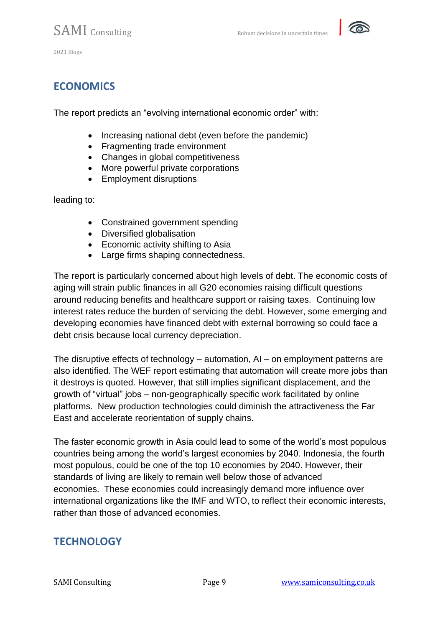

## **ECONOMICS**

The report predicts an "evolving international economic order" with:

- Increasing national debt (even before the pandemic)
- Fragmenting trade environment
- Changes in global competitiveness
- More powerful private corporations
- Employment disruptions

leading to:

- Constrained government spending
- Diversified globalisation
- Economic activity shifting to Asia
- Large firms shaping connectedness.

The report is particularly concerned about high levels of debt. The economic costs of aging will strain public finances in all G20 economies raising difficult questions around reducing benefits and healthcare support or raising taxes. Continuing low interest rates reduce the burden of servicing the debt. However, some emerging and developing economies have financed debt with external borrowing so could face a debt crisis because local currency depreciation.

The disruptive effects of technology – automation, AI – on employment patterns are also identified. The WEF report estimating that automation will create more jobs than it destroys is quoted. However, that still implies significant displacement, and the growth of "virtual" jobs – non-geographically specific work facilitated by online platforms. New production technologies could diminish the attractiveness the Far East and accelerate reorientation of supply chains.

The faster economic growth in Asia could lead to some of the world's most populous countries being among the world's largest economies by 2040. Indonesia, the fourth most populous, could be one of the top 10 economies by 2040. However, their standards of living are likely to remain well below those of advanced economies. These economies could increasingly demand more influence over international organizations like the IMF and WTO, to reflect their economic interests, rather than those of advanced economies.

## **TECHNOLOGY**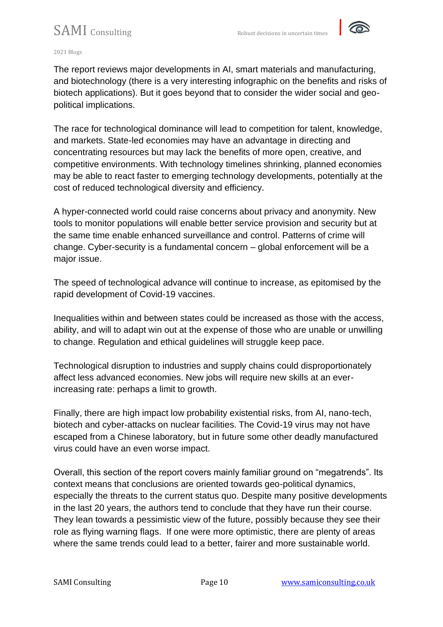

#### 2021 Blogs

The report reviews major developments in AI, smart materials and manufacturing, and biotechnology (there is a very interesting infographic on the benefits and risks of biotech applications). But it goes beyond that to consider the wider social and geopolitical implications.

The race for technological dominance will lead to competition for talent, knowledge, and markets. State-led economies may have an advantage in directing and concentrating resources but may lack the benefits of more open, creative, and competitive environments. With technology timelines shrinking, planned economies may be able to react faster to emerging technology developments, potentially at the cost of reduced technological diversity and efficiency.

A hyper-connected world could raise concerns about privacy and anonymity. New tools to monitor populations will enable better service provision and security but at the same time enable enhanced surveillance and control. Patterns of crime will change. Cyber-security is a fundamental concern – global enforcement will be a major issue.

The speed of technological advance will continue to increase, as epitomised by the rapid development of Covid-19 vaccines.

Inequalities within and between states could be increased as those with the access, ability, and will to adapt win out at the expense of those who are unable or unwilling to change. Regulation and ethical guidelines will struggle keep pace.

Technological disruption to industries and supply chains could disproportionately affect less advanced economies. New jobs will require new skills at an everincreasing rate: perhaps a limit to growth.

Finally, there are high impact low probability existential risks, from AI, nano-tech, biotech and cyber-attacks on nuclear facilities. The Covid-19 virus may not have escaped from a Chinese laboratory, but in future some other deadly manufactured virus could have an even worse impact.

Overall, this section of the report covers mainly familiar ground on "megatrends". Its context means that conclusions are oriented towards geo-political dynamics, especially the threats to the current status quo. Despite many positive developments in the last 20 years, the authors tend to conclude that they have run their course. They lean towards a pessimistic view of the future, possibly because they see their role as flying warning flags. If one were more optimistic, there are plenty of areas where the same trends could lead to a better, fairer and more sustainable world.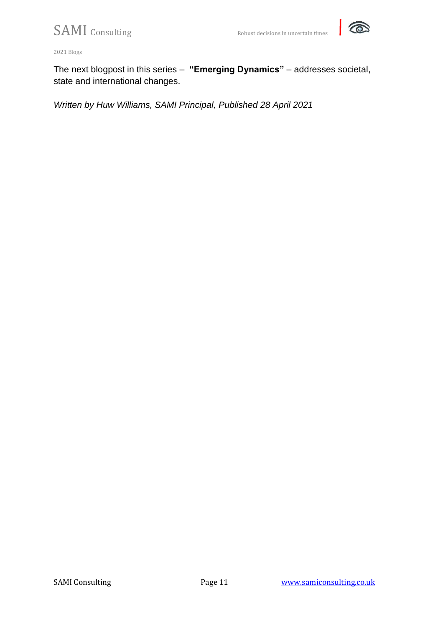

2021 Blogs

The next blogpost in this series – **"Emerging Dynamics"** – addresses societal, state and international changes.

*Written by Huw Williams, SAMI Principal, Published 28 April 2021*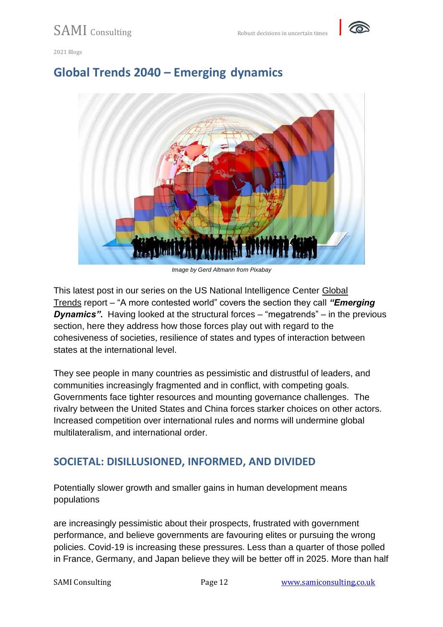



## **Global Trends 2040 – Emerging dynamics**



*Image by Gerd Altmann from Pixabay*

This latest post in our series on the US National Intelligence Center [Global](https://www.dni.gov/files/ODNI/documents/assessments/GlobalTrends_2040.pdf)  [Trends](https://www.dni.gov/files/ODNI/documents/assessments/GlobalTrends_2040.pdf) report – "A more contested world" covers the section they call *"Emerging Dynamics".* Having looked at the structural forces – "megatrends" – in the previous section, here they address how those forces play out with regard to the cohesiveness of societies, resilience of states and types of interaction between states at the international level.

They see people in many countries as pessimistic and distrustful of leaders, and communities increasingly fragmented and in conflict, with competing goals. Governments face tighter resources and mounting governance challenges. The rivalry between the United States and China forces starker choices on other actors. Increased competition over international rules and norms will undermine global multilateralism, and international order.

## **SOCIETAL: DISILLUSIONED, INFORMED, AND DIVIDED**

Potentially slower growth and smaller gains in human development means populations

are increasingly pessimistic about their prospects, frustrated with government performance, and believe governments are favouring elites or pursuing the wrong policies. Covid-19 is increasing these pressures. Less than a quarter of those polled in France, Germany, and Japan believe they will be better off in 2025. More than half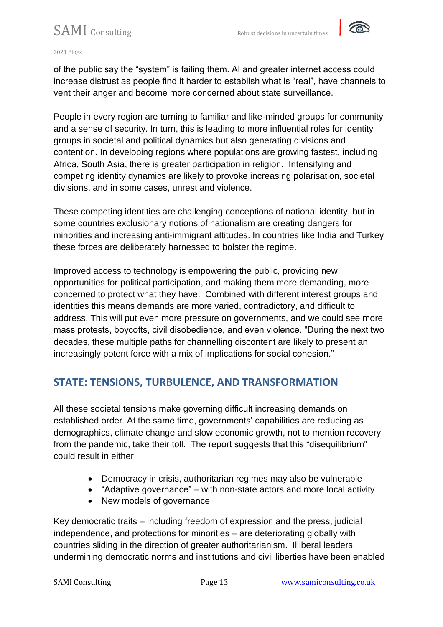

of the public say the "system" is failing them. AI and greater internet access could increase distrust as people find it harder to establish what is "real", have channels to vent their anger and become more concerned about state surveillance.

People in every region are turning to familiar and like-minded groups for community and a sense of security. In turn, this is leading to more influential roles for identity groups in societal and political dynamics but also generating divisions and contention. In developing regions where populations are growing fastest, including Africa, South Asia, there is greater participation in religion. Intensifying and competing identity dynamics are likely to provoke increasing polarisation, societal divisions, and in some cases, unrest and violence.

These competing identities are challenging conceptions of national identity, but in some countries exclusionary notions of nationalism are creating dangers for minorities and increasing anti-immigrant attitudes. In countries like India and Turkey these forces are deliberately harnessed to bolster the regime.

Improved access to technology is empowering the public, providing new opportunities for political participation, and making them more demanding, more concerned to protect what they have. Combined with different interest groups and identities this means demands are more varied, contradictory, and difficult to address. This will put even more pressure on governments, and we could see more mass protests, boycotts, civil disobedience, and even violence. "During the next two decades, these multiple paths for channelling discontent are likely to present an increasingly potent force with a mix of implications for social cohesion."

## **STATE: TENSIONS, TURBULENCE, AND TRANSFORMATION**

All these societal tensions make governing difficult increasing demands on established order. At the same time, governments' capabilities are reducing as demographics, climate change and slow economic growth, not to mention recovery from the pandemic, take their toll. The report suggests that this "disequilibrium" could result in either:

- Democracy in crisis, authoritarian regimes may also be vulnerable
- "Adaptive governance" with non-state actors and more local activity
- New models of governance

Key democratic traits – including freedom of expression and the press, judicial independence, and protections for minorities – are deteriorating globally with countries sliding in the direction of greater authoritarianism. Illiberal leaders undermining democratic norms and institutions and civil liberties have been enabled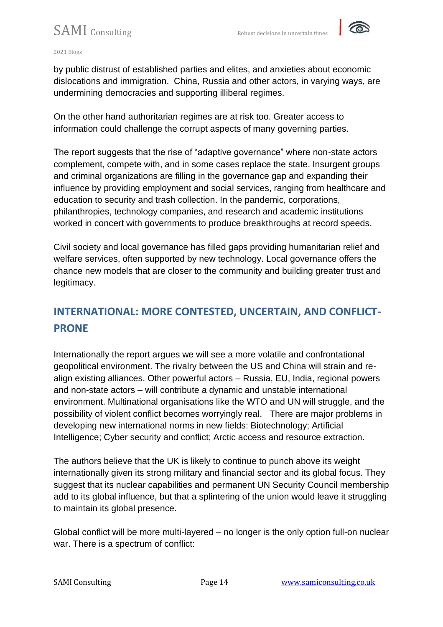

by public distrust of established parties and elites, and anxieties about economic dislocations and immigration. China, Russia and other actors, in varying ways, are undermining democracies and supporting illiberal regimes.

On the other hand authoritarian regimes are at risk too. Greater access to information could challenge the corrupt aspects of many governing parties.

The report suggests that the rise of "adaptive governance" where non-state actors complement, compete with, and in some cases replace the state. Insurgent groups and criminal organizations are filling in the governance gap and expanding their influence by providing employment and social services, ranging from healthcare and education to security and trash collection. In the pandemic, corporations, philanthropies, technology companies, and research and academic institutions worked in concert with governments to produce breakthroughs at record speeds.

Civil society and local governance has filled gaps providing humanitarian relief and welfare services, often supported by new technology. Local governance offers the chance new models that are closer to the community and building greater trust and legitimacy.

## **INTERNATIONAL: MORE CONTESTED, UNCERTAIN, AND CONFLICT-PRONE**

Internationally the report argues we will see a more volatile and confrontational geopolitical environment. The rivalry between the US and China will strain and realign existing alliances. Other powerful actors – Russia, EU, India, regional powers and non-state actors – will contribute a dynamic and unstable international environment. Multinational organisations like the WTO and UN will struggle, and the possibility of violent conflict becomes worryingly real. There are major problems in developing new international norms in new fields: Biotechnology; Artificial Intelligence; Cyber security and conflict; Arctic access and resource extraction.

The authors believe that the UK is likely to continue to punch above its weight internationally given its strong military and financial sector and its global focus. They suggest that its nuclear capabilities and permanent UN Security Council membership add to its global influence, but that a splintering of the union would leave it struggling to maintain its global presence.

Global conflict will be more multi-layered – no longer is the only option full-on nuclear war. There is a spectrum of conflict: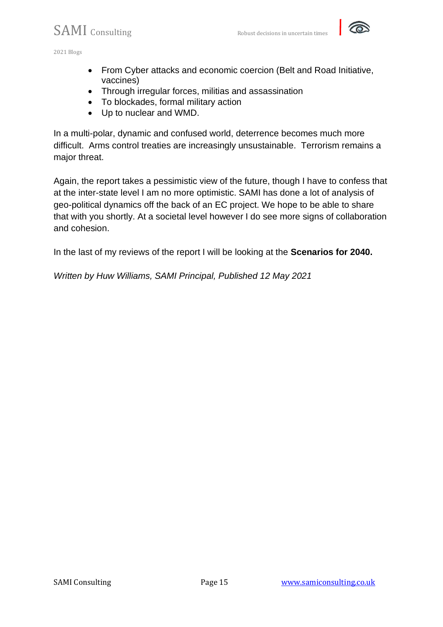

- From Cyber attacks and economic coercion (Belt and Road Initiative, vaccines)
- Through irregular forces, militias and assassination
- To blockades, formal military action
- Up to nuclear and WMD.

In a multi-polar, dynamic and confused world, deterrence becomes much more difficult. Arms control treaties are increasingly unsustainable. Terrorism remains a major threat.

Again, the report takes a pessimistic view of the future, though I have to confess that at the inter-state level I am no more optimistic. SAMI has done a lot of analysis of geo-political dynamics off the back of an EC project. We hope to be able to share that with you shortly. At a societal level however I do see more signs of collaboration and cohesion.

In the last of my reviews of the report I will be looking at the **Scenarios for 2040.**

*Written by Huw Williams, SAMI Principal, Published 12 May 2021*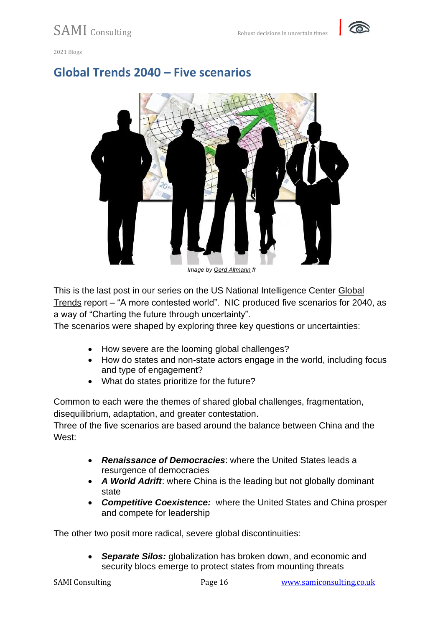

## **Global Trends 2040 – Five scenarios**



*Image by [Gerd Altmann](https://pixabay.com/users/geralt-9301/?utm_source=link-attribution&utm_medium=referral&utm_campaign=image&utm_content=593751) fr*

This is the last post in our series on the US National Intelligence Center Global [Trends](https://www.dni.gov/files/ODNI/documents/assessments/GlobalTrends_2040.pdf) report – "A more contested world". NIC produced five scenarios for 2040, as a way of "Charting the future through uncertainty".

The scenarios were shaped by exploring three key questions or uncertainties:

- How severe are the looming global challenges?
- How do states and non-state actors engage in the world, including focus and type of engagement?
- What do states prioritize for the future?

Common to each were the themes of shared global challenges, fragmentation, disequilibrium, adaptation, and greater contestation.

Three of the five scenarios are based around the balance between China and the West:

- *Renaissance of Democracies*: where the United States leads a resurgence of democracies
- *A World Adrift*: where China is the leading but not globally dominant state
- *Competitive Coexistence:* where the United States and China prosper and compete for leadership

The other two posit more radical, severe global discontinuities:

• *Separate Silos:* globalization has broken down, and economic and security blocs emerge to protect states from mounting threats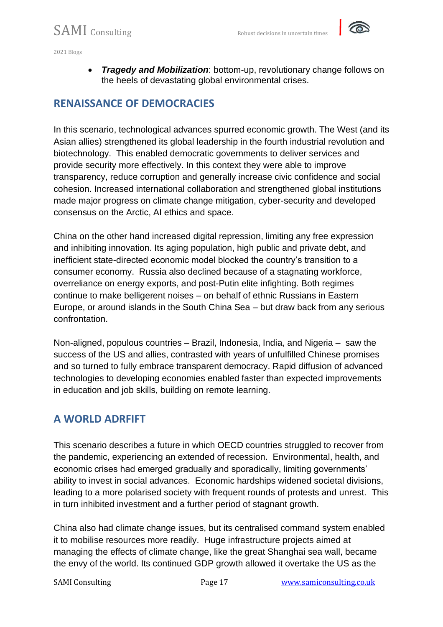• *Tragedy and Mobilization*: bottom-up, revolutionary change follows on the heels of devastating global environmental crises.

## **RENAISSANCE OF DEMOCRACIES**

In this scenario, technological advances spurred economic growth. The West (and its Asian allies) strengthened its global leadership in the fourth industrial revolution and biotechnology. This enabled democratic governments to deliver services and provide security more effectively. In this context they were able to improve transparency, reduce corruption and generally increase civic confidence and social cohesion. Increased international collaboration and strengthened global institutions made major progress on climate change mitigation, cyber-security and developed consensus on the Arctic, AI ethics and space.

China on the other hand increased digital repression, limiting any free expression and inhibiting innovation. Its aging population, high public and private debt, and inefficient state-directed economic model blocked the country's transition to a consumer economy. Russia also declined because of a stagnating workforce, overreliance on energy exports, and post-Putin elite infighting. Both regimes continue to make belligerent noises – on behalf of ethnic Russians in Eastern Europe, or around islands in the South China Sea – but draw back from any serious confrontation.

Non-aligned, populous countries – Brazil, Indonesia, India, and Nigeria – saw the success of the US and allies, contrasted with years of unfulfilled Chinese promises and so turned to fully embrace transparent democracy. Rapid diffusion of advanced technologies to developing economies enabled faster than expected improvements in education and job skills, building on remote learning.

## **A WORLD ADRFIFT**

This scenario describes a future in which OECD countries struggled to recover from the pandemic, experiencing an extended of recession. Environmental, health, and economic crises had emerged gradually and sporadically, limiting governments' ability to invest in social advances. Economic hardships widened societal divisions, leading to a more polarised society with frequent rounds of protests and unrest. This in turn inhibited investment and a further period of stagnant growth.

China also had climate change issues, but its centralised command system enabled it to mobilise resources more readily. Huge infrastructure projects aimed at managing the effects of climate change, like the great Shanghai sea wall, became the envy of the world. Its continued GDP growth allowed it overtake the US as the

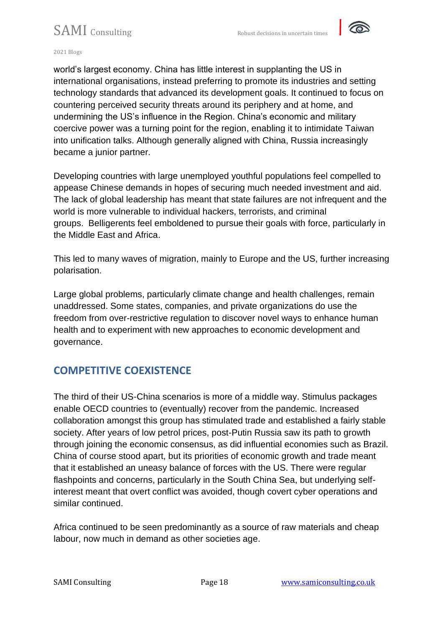

2021 Blogs

world's largest economy. China has little interest in supplanting the US in international organisations, instead preferring to promote its industries and setting technology standards that advanced its development goals. It continued to focus on countering perceived security threats around its periphery and at home, and undermining the US's influence in the Region. China's economic and military coercive power was a turning point for the region, enabling it to intimidate Taiwan into unification talks. Although generally aligned with China, Russia increasingly became a junior partner.

Developing countries with large unemployed youthful populations feel compelled to appease Chinese demands in hopes of securing much needed investment and aid. The lack of global leadership has meant that state failures are not infrequent and the world is more vulnerable to individual hackers, terrorists, and criminal groups. Belligerents feel emboldened to pursue their goals with force, particularly in the Middle East and Africa.

This led to many waves of migration, mainly to Europe and the US, further increasing polarisation.

Large global problems, particularly climate change and health challenges, remain unaddressed. Some states, companies, and private organizations do use the freedom from over-restrictive regulation to discover novel ways to enhance human health and to experiment with new approaches to economic development and governance.

## **COMPETITIVE COEXISTENCE**

The third of their US-China scenarios is more of a middle way. Stimulus packages enable OECD countries to (eventually) recover from the pandemic. Increased collaboration amongst this group has stimulated trade and established a fairly stable society. After years of low petrol prices, post-Putin Russia saw its path to growth through joining the economic consensus, as did influential economies such as Brazil. China of course stood apart, but its priorities of economic growth and trade meant that it established an uneasy balance of forces with the US. There were regular flashpoints and concerns, particularly in the South China Sea, but underlying selfinterest meant that overt conflict was avoided, though covert cyber operations and similar continued.

Africa continued to be seen predominantly as a source of raw materials and cheap labour, now much in demand as other societies age.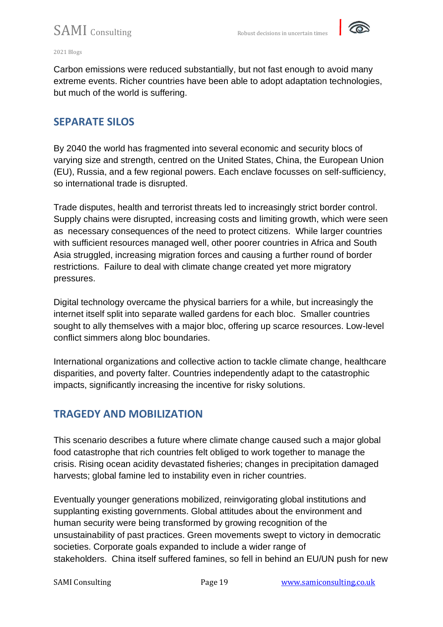

#### 2021 Blogs

Carbon emissions were reduced substantially, but not fast enough to avoid many extreme events. Richer countries have been able to adopt adaptation technologies, but much of the world is suffering.

## **SEPARATE SILOS**

By 2040 the world has fragmented into several economic and security blocs of varying size and strength, centred on the United States, China, the European Union (EU), Russia, and a few regional powers. Each enclave focusses on self-sufficiency, so international trade is disrupted.

Trade disputes, health and terrorist threats led to increasingly strict border control. Supply chains were disrupted, increasing costs and limiting growth, which were seen as necessary consequences of the need to protect citizens. While larger countries with sufficient resources managed well, other poorer countries in Africa and South Asia struggled, increasing migration forces and causing a further round of border restrictions. Failure to deal with climate change created yet more migratory pressures.

Digital technology overcame the physical barriers for a while, but increasingly the internet itself split into separate walled gardens for each bloc. Smaller countries sought to ally themselves with a major bloc, offering up scarce resources. Low-level conflict simmers along bloc boundaries.

International organizations and collective action to tackle climate change, healthcare disparities, and poverty falter. Countries independently adapt to the catastrophic impacts, significantly increasing the incentive for risky solutions.

## **TRAGEDY AND MOBILIZATION**

This scenario describes a future where climate change caused such a major global food catastrophe that rich countries felt obliged to work together to manage the crisis. Rising ocean acidity devastated fisheries; changes in precipitation damaged harvests; global famine led to instability even in richer countries.

Eventually younger generations mobilized, reinvigorating global institutions and supplanting existing governments. Global attitudes about the environment and human security were being transformed by growing recognition of the unsustainability of past practices. Green movements swept to victory in democratic societies. Corporate goals expanded to include a wider range of stakeholders. China itself suffered famines, so fell in behind an EU/UN push for new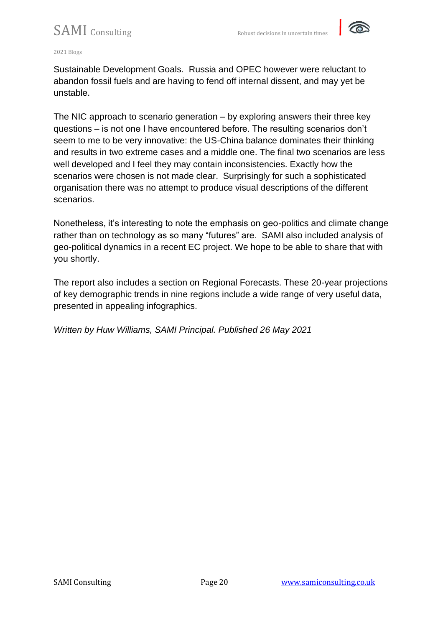

2021 Blogs

Sustainable Development Goals. Russia and OPEC however were reluctant to abandon fossil fuels and are having to fend off internal dissent, and may yet be unstable.

The NIC approach to scenario generation – by exploring answers their three key questions – is not one I have encountered before. The resulting scenarios don't seem to me to be very innovative: the US-China balance dominates their thinking and results in two extreme cases and a middle one. The final two scenarios are less well developed and I feel they may contain inconsistencies. Exactly how the scenarios were chosen is not made clear. Surprisingly for such a sophisticated organisation there was no attempt to produce visual descriptions of the different scenarios.

Nonetheless, it's interesting to note the emphasis on geo-politics and climate change rather than on technology as so many "futures" are. SAMI also included analysis of geo-political dynamics in a recent EC project. We hope to be able to share that with you shortly.

The report also includes a section on Regional Forecasts. These 20-year projections of key demographic trends in nine regions include a wide range of very useful data, presented in appealing infographics.

*Written by Huw Williams, SAMI Principal. Published 26 May 2021*